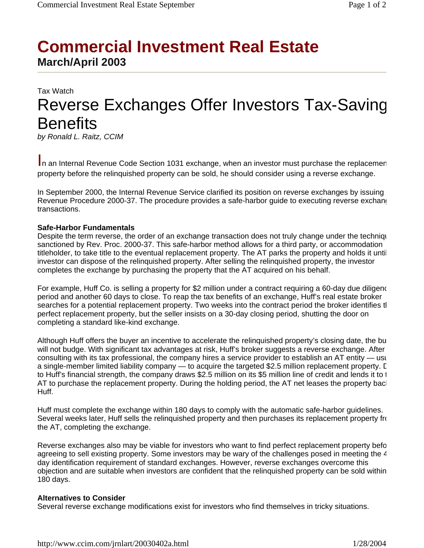# **Commercial Investment Real Estate March/April 2003**

## Tax Watch Reverse Exchanges Offer Investors Tax-Saving **Benefits**

*by Ronald L. Raitz, CCIM*

In an Internal Revenue Code Section 1031 exchange, when an investor must purchase the replacemen property before the relinquished property can be sold, he should consider using a reverse exchange.

In September 2000, the Internal Revenue Service clarified its position on reverse exchanges by issuing Revenue Procedure 2000-37. The procedure provides a safe-harbor guide to executing reverse exchang transactions.

#### **Safe-Harbor Fundamentals**

Despite the term reverse, the order of an exchange transaction does not truly change under the techniqu sanctioned by Rev. Proc. 2000-37. This safe-harbor method allows for a third party, or accommodation titleholder, to take title to the eventual replacement property. The AT parks the property and holds it until investor can dispose of the relinquished property. After selling the relinquished property, the investor completes the exchange by purchasing the property that the AT acquired on his behalf.

For example, Huff Co. is selling a property for \$2 million under a contract requiring a 60-day due diligenc period and another 60 days to close. To reap the tax benefits of an exchange, Huff's real estate broker searches for a potential replacement property. Two weeks into the contract period the broker identifies tl perfect replacement property, but the seller insists on a 30-day closing period, shutting the door on completing a standard like-kind exchange.

Although Huff offers the buyer an incentive to accelerate the relinquished property's closing date, the bu will not budge. With significant tax advantages at risk, Huff's broker suggests a reverse exchange. After consulting with its tax professional, the company hires a service provider to establish an AT entity — usu a single-member limited liability company — to acquire the targeted \$2.5 million replacement property. D to Huff's financial strength, the company draws \$2.5 million on its \$5 million line of credit and lends it to t AT to purchase the replacement property. During the holding period, the AT net leases the property back Huff.

Huff must complete the exchange within 180 days to comply with the automatic safe-harbor guidelines. Several weeks later, Huff sells the relinquished property and then purchases its replacement property fro the AT, completing the exchange.

Reverse exchanges also may be viable for investors who want to find perfect replacement property befo agreeing to sell existing property. Some investors may be wary of the challenges posed in meeting the 4 day identification requirement of standard exchanges. However, reverse exchanges overcome this objection and are suitable when investors are confident that the relinquished property can be sold within 180 days.

#### **Alternatives to Consider**

Several reverse exchange modifications exist for investors who find themselves in tricky situations.